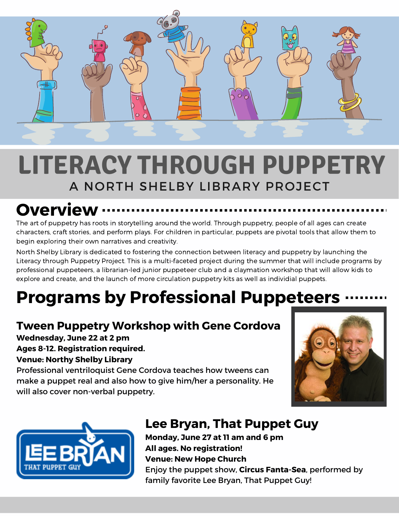

## A NORTH SHELBY LIBRARY PROJECT **LITERACY THROUGH PUPPETRY**

# **Overview**

The art of puppetry has roots in storytelling around the world. Through puppetry, people of all ages can create characters, craft stories, and perform plays. For children in particular, puppets are pivotal tools that allow them to begin exploring their own narratives and creativity.

North Shelby Library is dedicated to fostering the connection between literacy and puppetry by launching the Literacy through Puppetry Project. This is a multi-faceted project during the summer that will include programs by professional puppeteers, a librarian-led junior puppeteer club and a claymation workshop that will allow kids to explore and create, and the launch of more circulation puppetry kits as well as individial puppets.

## **Programs by Professional Puppeteers**

#### **Tween Puppetry Workshop with Gene Cordova**

**Wednesday, June 22 at 2 pm Ages 8-12. Registration required. Venue: Northy Shelby Library**

Professional ventriloquist Gene Cordova teaches how tweens can make a puppet real and also how to give him/her a personality. He will also cover non-verbal puppetry.





### **Lee Bryan, That Puppet Guy**

**Monday, June 27 at 11 am and 6 pm All ages. No registration! Venue: New Hope Church** Enjoy the puppet show, **Circus Fanta-Sea**, performed by family favorite Lee Bryan, That Puppet Guy!